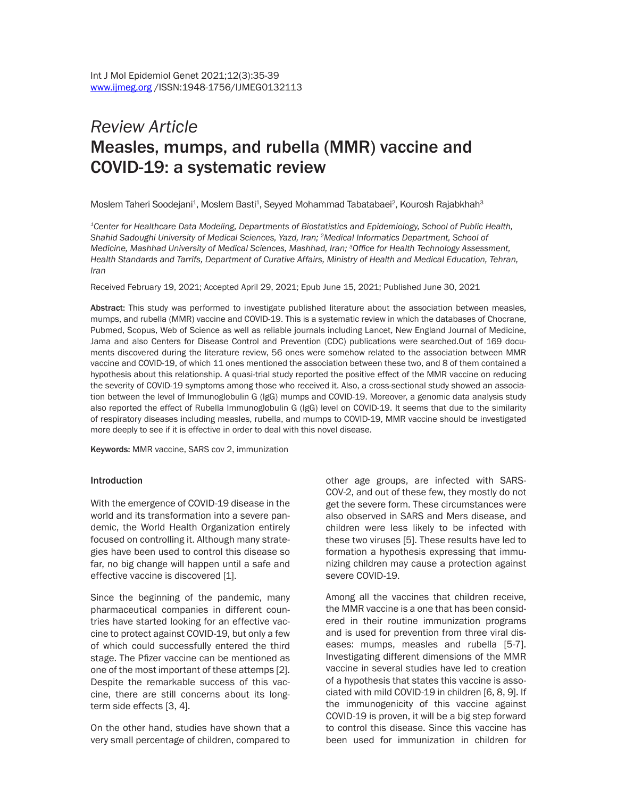# *Review Article*  Measles, mumps, and rubella (MMR) vaccine and COVID-19: a systematic review

Moslem Taheri Soodejani<sup>1</sup>, Moslem Basti<sup>1</sup>, Seyyed Mohammad Tabatabaei<sup>2</sup>, Kourosh Rajabkhah<sup>3</sup>

*1Center for Healthcare Data Modeling, Departments of Biostatistics and Epidemiology, School of Public Health, Shahid Sadoughi University of Medical Sciences, Yazd, Iran; 2Medical Informatics Department, School of Medicine, Mashhad University of Medical Sciences, Mashhad, Iran; 3Office for Health Technology Assessment, Health Standards and Tarrifs, Department of Curative Affairs, Ministry of Health and Medical Education, Tehran, Iran*

Received February 19, 2021; Accepted April 29, 2021; Epub June 15, 2021; Published June 30, 2021

Abstract: This study was performed to investigate published literature about the association between measles, mumps, and rubella (MMR) vaccine and COVID-19. This is a systematic review in which the databases of Chocrane, Pubmed, Scopus, Web of Science as well as reliable journals including Lancet, New England Journal of Medicine, Jama and also Centers for Disease Control and Prevention (CDC) publications were searched.Out of 169 documents discovered during the literature review, 56 ones were somehow related to the association between MMR vaccine and COVID-19, of which 11 ones mentioned the association between these two, and 8 of them contained a hypothesis about this relationship. A quasi-trial study reported the positive effect of the MMR vaccine on reducing the severity of COVID-19 symptoms among those who received it. Also, a cross-sectional study showed an association between the level of Immunoglobulin G (IgG) mumps and COVID-19. Moreover, a genomic data analysis study also reported the effect of Rubella Immunoglobulin G (IgG) level on COVID-19. It seems that due to the similarity of respiratory diseases including measles, rubella, and mumps to COVID-19, MMR vaccine should be investigated more deeply to see if it is effective in order to deal with this novel disease.

Keywords: MMR vaccine, SARS cov 2, immunization

#### Introduction

With the emergence of COVID-19 disease in the world and its transformation into a severe pandemic, the World Health Organization entirely focused on controlling it. Although many strategies have been used to control this disease so far, no big change will happen until a safe and effective vaccine is discovered [1].

Since the beginning of the pandemic, many pharmaceutical companies in different countries have started looking for an effective vaccine to protect against COVID-19, but only a few of which could successfully entered the third stage. The Pfizer vaccine can be mentioned as one of the most important of these attemps [2]. Despite the remarkable success of this vaccine, there are still concerns about its longterm side effects [3, 4].

On the other hand, studies have shown that a very small percentage of children, compared to

other age groups, are infected with SARS-COV-2, and out of these few, they mostly do not get the severe form. These circumstances were also observed in SARS and Mers disease, and children were less likely to be infected with these two viruses [5]. These results have led to formation a hypothesis expressing that immunizing children may cause a protection against severe COVID-19.

Among all the vaccines that children receive, the MMR vaccine is a one that has been considered in their routine immunization programs and is used for prevention from three viral diseases: mumps, measles and rubella [5-7]. Investigating different dimensions of the MMR vaccine in several studies have led to creation of a hypothesis that states this vaccine is associated with mild COVID-19 in children [6, 8, 9]. If the immunogenicity of this vaccine against COVID-19 is proven, it will be a big step forward to control this disease. Since this vaccine has been used for immunization in children for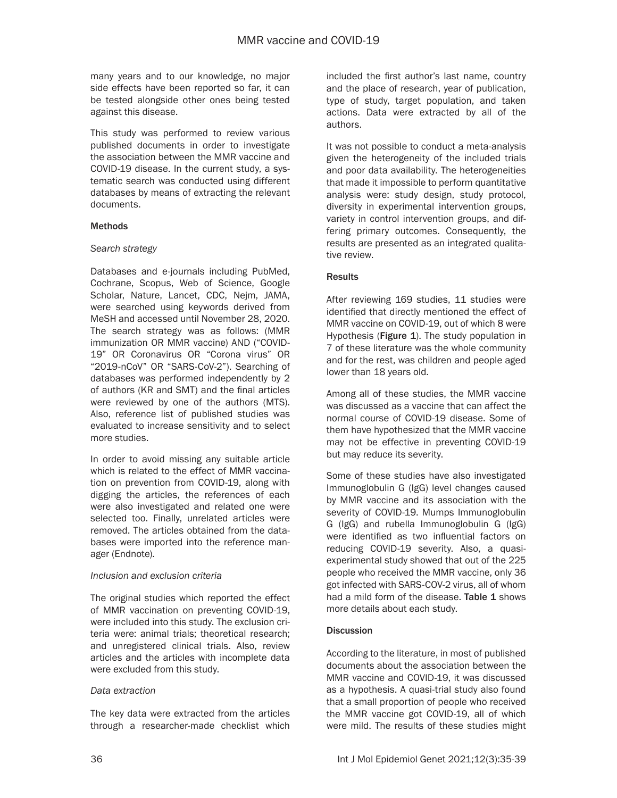many years and to our knowledge, no major side effects have been reported so far, it can be tested alongside other ones being tested against this disease.

This study was performed to review various published documents in order to investigate the association between the MMR vaccine and COVID-19 disease. In the current study, a systematic search was conducted using different databases by means of extracting the relevant documents.

#### Methods

#### *Search strategy*

Databases and e-journals including PubMed, Cochrane, Scopus, Web of Science, Google Scholar, Nature, Lancet, CDC, Nejm, JAMA, were searched using keywords derived from MeSH and accessed until November 28, 2020. The search strategy was as follows: (MMR immunization OR MMR vaccine) AND ("COVID-19" OR Coronavirus OR "Corona virus" OR "2019-nCoV" OR "SARS-CoV-2"). Searching of databases was performed independently by 2 of authors (KR and SMT) and the final articles were reviewed by one of the authors (MTS). Also, reference list of published studies was evaluated to increase sensitivity and to select more studies.

In order to avoid missing any suitable article which is related to the effect of MMR vaccination on prevention from COVID-19, along with digging the articles, the references of each were also investigated and related one were selected too. Finally, unrelated articles were removed. The articles obtained from the databases were imported into the reference manager (Endnote).

#### *Inclusion and exclusion criteria*

The original studies which reported the effect of MMR vaccination on preventing COVID-19, were included into this study. The exclusion criteria were: animal trials; theoretical research; and unregistered clinical trials. Also, review articles and the articles with incomplete data were excluded from this study.

#### *Data extraction*

The key data were extracted from the articles through a researcher-made checklist which included the first author's last name, country and the place of research, year of publication, type of study, target population, and taken actions. Data were extracted by all of the authors.

It was not possible to conduct a meta-analysis given the heterogeneity of the included trials and poor data availability. The heterogeneities that made it impossible to perform quantitative analysis were: study design, study protocol, diversity in experimental intervention groups, variety in control intervention groups, and differing primary outcomes. Consequently, the results are presented as an integrated qualitative review.

#### **Results**

After reviewing 169 studies, 11 studies were identified that directly mentioned the effect of MMR vaccine on COVID-19, out of which 8 were Hypothesis (Figure 1). The study population in 7 of these literature was the whole community and for the rest, was children and people aged lower than 18 years old.

Among all of these studies, the MMR vaccine was discussed as a vaccine that can affect the normal course of COVID-19 disease. Some of them have hypothesized that the MMR vaccine may not be effective in preventing COVID-19 but may reduce its severity.

Some of these studies have also investigated Immunoglobulin G (IgG) level changes caused by MMR vaccine and its association with the severity of COVID-19. Mumps Immunoglobulin G (IgG) and rubella Immunoglobulin G (IgG) were identified as two influential factors on reducing COVID-19 severity. Also, a quasiexperimental study showed that out of the 225 people who received the MMR vaccine, only 36 got infected with SARS-COV-2 virus, all of whom had a mild form of the disease. **Table 1** shows more details about each study.

## **Discussion**

According to the literature, in most of published documents about the association between the MMR vaccine and COVID-19, it was discussed as a hypothesis. A quasi-trial study also found that a small proportion of people who received the MMR vaccine got COVID-19, all of which were mild. The results of these studies might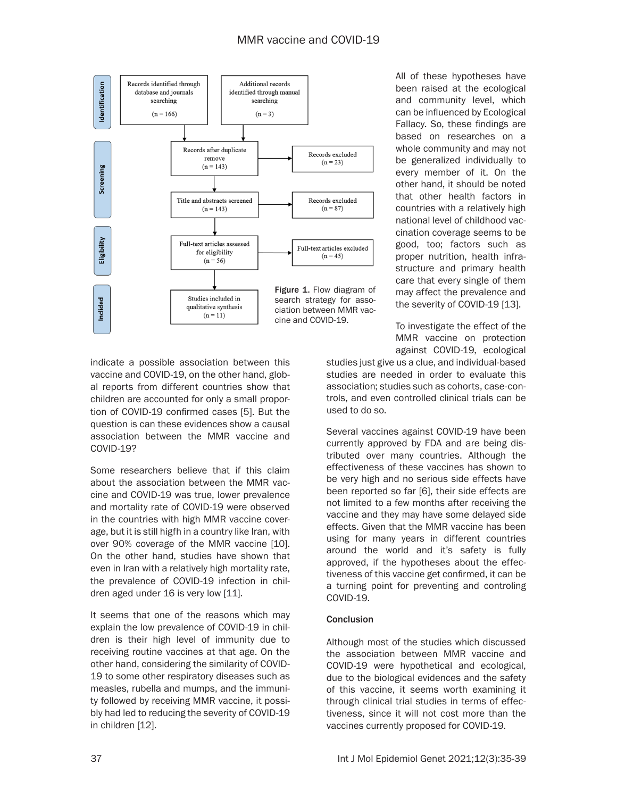

All of these hypotheses have been raised at the ecological and community level, which can be influenced by Ecological Fallacy. So, these findings are based on researches on a whole community and may not be generalized individually to every member of it. On the other hand, it should be noted that other health factors in countries with a relatively high national level of childhood vaccination coverage seems to be good, too; factors such as proper nutrition, health infrastructure and primary health care that every single of them may affect the prevalence and the severity of COVID-19 [13].

To investigate the effect of the MMR vaccine on protection against COVID-19, ecological

indicate a possible association between this vaccine and COVID-19, on the other hand, global reports from different countries show that children are accounted for only a small proportion of COVID-19 confirmed cases [5]. But the question is can these evidences show a causal association between the MMR vaccine and COVID-19?

Some researchers believe that if this claim about the association between the MMR vaccine and COVID-19 was true, lower prevalence and mortality rate of COVID-19 were observed in the countries with high MMR vaccine coverage, but it is still higfh in a country like Iran, with over 90% coverage of the MMR vaccine [10]. On the other hand, studies have shown that even in Iran with a relatively high mortality rate, the prevalence of COVID-19 infection in children aged under 16 is very low [11].

It seems that one of the reasons which may explain the low prevalence of COVID-19 in children is their high level of immunity due to receiving routine vaccines at that age. On the other hand, considering the similarity of COVID-19 to some other respiratory diseases such as measles, rubella and mumps, and the immunity followed by receiving MMR vaccine, it possibly had led to reducing the severity of COVID-19 in children [12].

studies just give us a clue, and individual-based studies are needed in order to evaluate this association; studies such as cohorts, case-controls, and even controlled clinical trials can be used to do so.

Several vaccines against COVID-19 have been currently approved by FDA and are being distributed over many countries. Although the effectiveness of these vaccines has shown to be very high and no serious side effects have been reported so far [6], their side effects are not limited to a few months after receiving the vaccine and they may have some delayed side effects. Given that the MMR vaccine has been using for many years in different countries around the world and it's safety is fully approved, if the hypotheses about the effectiveness of this vaccine get confirmed, it can be a turning point for preventing and controling COVID-19.

## Conclusion

Although most of the studies which discussed the association between MMR vaccine and COVID-19 were hypothetical and ecological, due to the biological evidences and the safety of this vaccine, it seems worth examining it through clinical trial studies in terms of effectiveness, since it will not cost more than the vaccines currently proposed for COVID-19.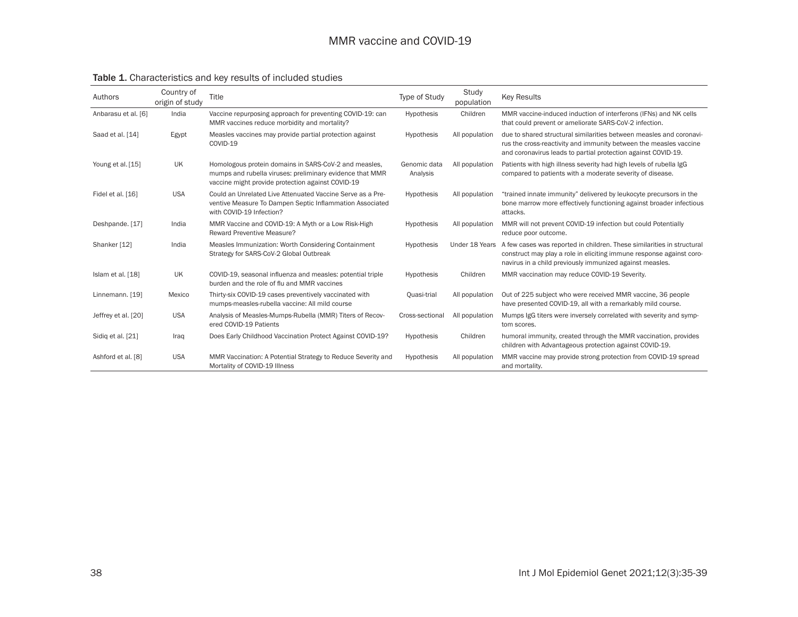# MMR vaccine and COVID-19

| Authors             | Country of<br>origin of study | Title                                                                                                                                                                  | Type of Study            | Study<br>population | <b>Key Results</b>                                                                                                                                                                                         |
|---------------------|-------------------------------|------------------------------------------------------------------------------------------------------------------------------------------------------------------------|--------------------------|---------------------|------------------------------------------------------------------------------------------------------------------------------------------------------------------------------------------------------------|
| Anbarasu et al. [6] | India                         | Vaccine repurposing approach for preventing COVID-19: can<br>MMR vaccines reduce morbidity and mortality?                                                              | Hypothesis               | Children            | MMR vaccine-induced induction of interferons (IFNs) and NK cells<br>that could prevent or ameliorate SARS-CoV-2 infection.                                                                                 |
| Saad et al. [14]    | Egypt                         | Measles vaccines may provide partial protection against<br>COVID-19                                                                                                    | Hypothesis               | All population      | due to shared structural similarities between measles and coronavi-<br>rus the cross-reactivity and immunity between the measles vaccine<br>and coronavirus leads to partial protection against COVID-19.  |
| Young et al. [15]   | <b>UK</b>                     | Homologous protein domains in SARS-CoV-2 and measles,<br>mumps and rubella viruses: preliminary evidence that MMR<br>vaccine might provide protection against COVID-19 | Genomic data<br>Analysis | All population      | Patients with high illness severity had high levels of rubella IgG<br>compared to patients with a moderate severity of disease.                                                                            |
| Fidel et al. [16]   | <b>USA</b>                    | Could an Unrelated Live Attenuated Vaccine Serve as a Pre-<br>ventive Measure To Dampen Septic Inflammation Associated<br>with COVID-19 Infection?                     | Hypothesis               | All population      | "trained innate immunity" delivered by leukocyte precursors in the<br>bone marrow more effectively functioning against broader infectious<br>attacks.                                                      |
| Deshpande. [17]     | India                         | MMR Vaccine and COVID-19: A Myth or a Low Risk-High<br><b>Reward Preventive Measure?</b>                                                                               | Hypothesis               | All population      | MMR will not prevent COVID-19 infection but could Potentially<br>reduce poor outcome.                                                                                                                      |
| Shanker [12]        | India                         | Measles Immunization: Worth Considering Containment<br>Strategy for SARS-CoV-2 Global Outbreak                                                                         | <b>Hypothesis</b>        | Under 18 Years      | A few cases was reported in children. These similarities in structural<br>construct may play a role in eliciting immune response against coro-<br>navirus in a child previously immunized against measles. |
| Islam et al. [18]   | <b>UK</b>                     | COVID-19, seasonal influenza and measles: potential triple<br>burden and the role of flu and MMR vaccines                                                              | Hypothesis               | Children            | MMR vaccination may reduce COVID-19 Severity.                                                                                                                                                              |
| Linnemann. [19]     | Mexico                        | Thirty-six COVID-19 cases preventively vaccinated with<br>mumps-measles-rubella vaccine: All mild course                                                               | Quasi-trial              | All population      | Out of 225 subject who were received MMR vaccine, 36 people<br>have presented COVID-19, all with a remarkably mild course.                                                                                 |
| Jeffrey et al. [20] | <b>USA</b>                    | Analysis of Measles-Mumps-Rubella (MMR) Titers of Recov-<br>ered COVID-19 Patients                                                                                     | Cross-sectional          | All population      | Mumps IgG titers were inversely correlated with severity and symp-<br>tom scores.                                                                                                                          |
| Sidig et al. [21]   | Iraq                          | Does Early Childhood Vaccination Protect Against COVID-19?                                                                                                             | Hypothesis               | Children            | humoral immunity, created through the MMR vaccination, provides<br>children with Advantageous protection against COVID-19.                                                                                 |
| Ashford et al. [8]  | <b>USA</b>                    | MMR Vaccination: A Potential Strategy to Reduce Severity and<br>Mortality of COVID-19 Illness                                                                          | <b>Hypothesis</b>        | All population      | MMR vaccine may provide strong protection from COVID-19 spread<br>and mortality.                                                                                                                           |

# Table 1. Characteristics and key results of included studies